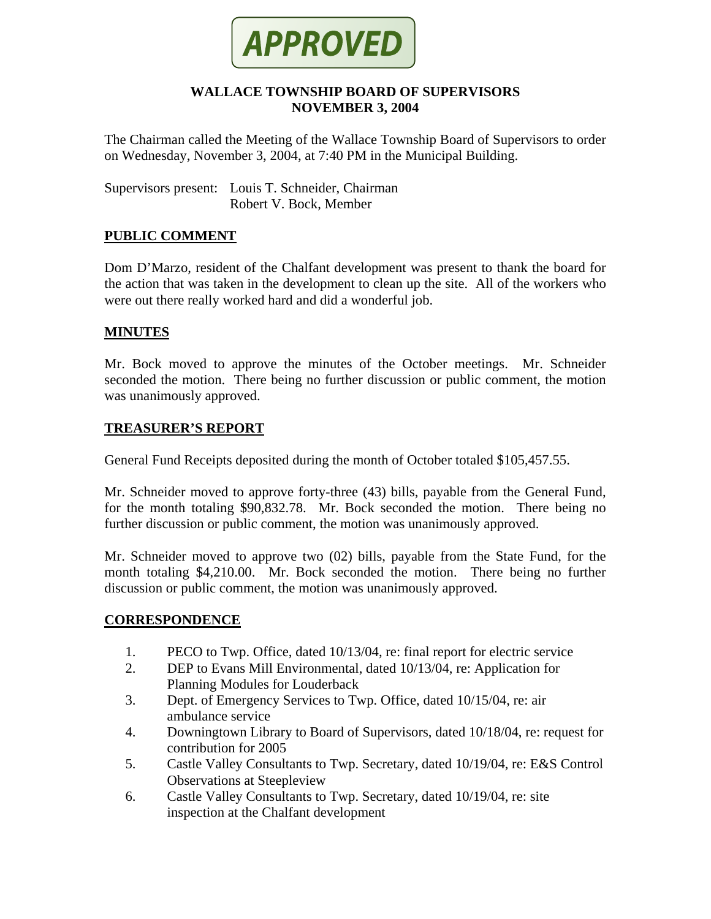

### **WALLACE TOWNSHIP BOARD OF SUPERVISORS NOVEMBER 3, 2004**

The Chairman called the Meeting of the Wallace Township Board of Supervisors to order on Wednesday, November 3, 2004, at 7:40 PM in the Municipal Building.

Supervisors present: Louis T. Schneider, Chairman Robert V. Bock, Member

## **PUBLIC COMMENT**

Dom D'Marzo, resident of the Chalfant development was present to thank the board for the action that was taken in the development to clean up the site. All of the workers who were out there really worked hard and did a wonderful job.

#### **MINUTES**

Mr. Bock moved to approve the minutes of the October meetings. Mr. Schneider seconded the motion. There being no further discussion or public comment, the motion was unanimously approved.

### **TREASURER'S REPORT**

General Fund Receipts deposited during the month of October totaled \$105,457.55.

Mr. Schneider moved to approve forty-three (43) bills, payable from the General Fund, for the month totaling \$90,832.78. Mr. Bock seconded the motion. There being no further discussion or public comment, the motion was unanimously approved.

Mr. Schneider moved to approve two (02) bills, payable from the State Fund, for the month totaling \$4,210.00. Mr. Bock seconded the motion. There being no further discussion or public comment, the motion was unanimously approved.

#### **CORRESPONDENCE**

- 1. PECO to Twp. Office, dated 10/13/04, re: final report for electric service
- 2. DEP to Evans Mill Environmental, dated 10/13/04, re: Application for Planning Modules for Louderback
- 3. Dept. of Emergency Services to Twp. Office, dated 10/15/04, re: air ambulance service
- 4. Downingtown Library to Board of Supervisors, dated 10/18/04, re: request for contribution for 2005
- 5. Castle Valley Consultants to Twp. Secretary, dated 10/19/04, re: E&S Control Observations at Steepleview
- 6. Castle Valley Consultants to Twp. Secretary, dated 10/19/04, re: site inspection at the Chalfant development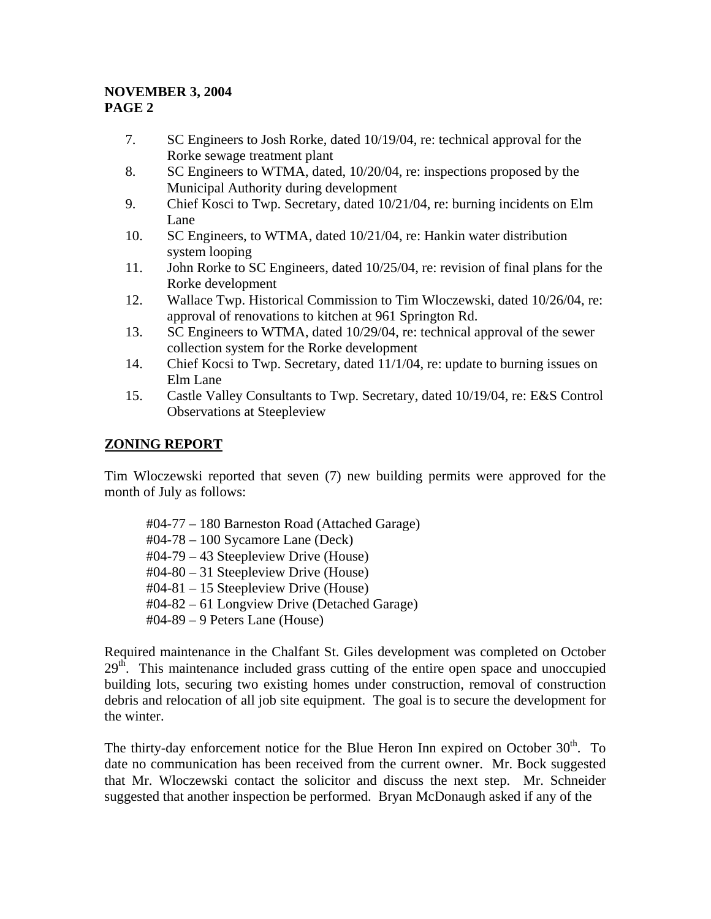- 7. SC Engineers to Josh Rorke, dated 10/19/04, re: technical approval for the Rorke sewage treatment plant
- 8. SC Engineers to WTMA, dated, 10/20/04, re: inspections proposed by the Municipal Authority during development
- 9. Chief Kosci to Twp. Secretary, dated 10/21/04, re: burning incidents on Elm Lane
- 10. SC Engineers, to WTMA, dated 10/21/04, re: Hankin water distribution system looping
- 11. John Rorke to SC Engineers, dated 10/25/04, re: revision of final plans for the Rorke development
- 12. Wallace Twp. Historical Commission to Tim Wloczewski, dated 10/26/04, re: approval of renovations to kitchen at 961 Springton Rd.
- 13. SC Engineers to WTMA, dated 10/29/04, re: technical approval of the sewer collection system for the Rorke development
- 14. Chief Kocsi to Twp. Secretary, dated 11/1/04, re: update to burning issues on Elm Lane
- 15. Castle Valley Consultants to Twp. Secretary, dated 10/19/04, re: E&S Control Observations at Steepleview

# **ZONING REPORT**

Tim Wloczewski reported that seven (7) new building permits were approved for the month of July as follows:

#04-77 – 180 Barneston Road (Attached Garage) #04-78 – 100 Sycamore Lane (Deck) #04-79 – 43 Steepleview Drive (House) #04-80 – 31 Steepleview Drive (House) #04-81 – 15 Steepleview Drive (House) #04-82 – 61 Longview Drive (Detached Garage) #04-89 – 9 Peters Lane (House)

Required maintenance in the Chalfant St. Giles development was completed on October  $29<sup>th</sup>$ . This maintenance included grass cutting of the entire open space and unoccupied building lots, securing two existing homes under construction, removal of construction debris and relocation of all job site equipment. The goal is to secure the development for the winter.

The thirty-day enforcement notice for the Blue Heron Inn expired on October  $30<sup>th</sup>$ . To date no communication has been received from the current owner. Mr. Bock suggested that Mr. Wloczewski contact the solicitor and discuss the next step. Mr. Schneider suggested that another inspection be performed. Bryan McDonaugh asked if any of the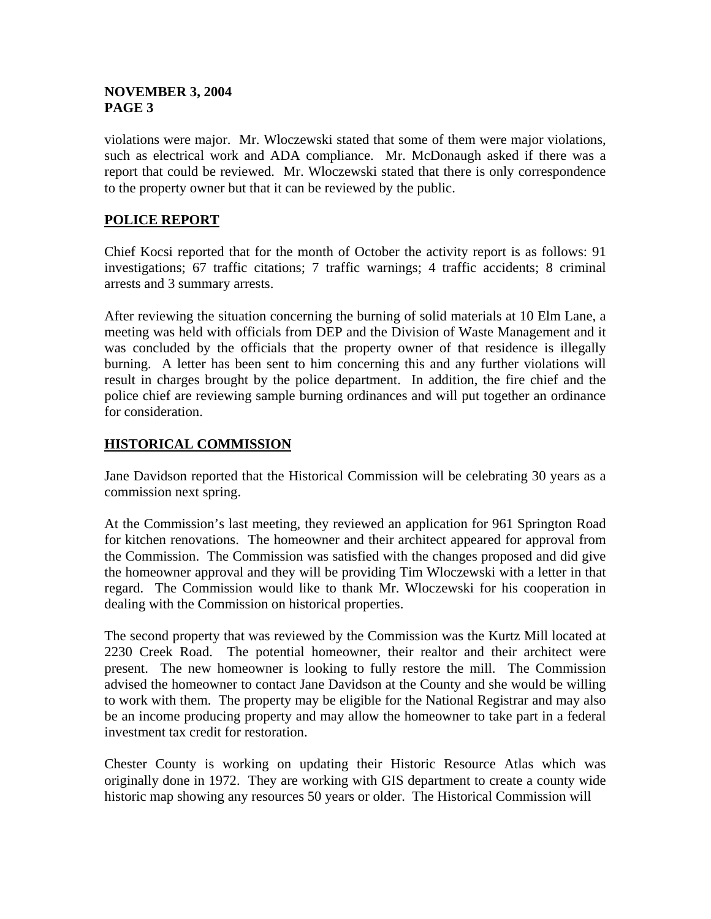violations were major. Mr. Wloczewski stated that some of them were major violations, such as electrical work and ADA compliance. Mr. McDonaugh asked if there was a report that could be reviewed. Mr. Wloczewski stated that there is only correspondence to the property owner but that it can be reviewed by the public.

# **POLICE REPORT**

Chief Kocsi reported that for the month of October the activity report is as follows: 91 investigations; 67 traffic citations; 7 traffic warnings; 4 traffic accidents; 8 criminal arrests and 3 summary arrests.

After reviewing the situation concerning the burning of solid materials at 10 Elm Lane, a meeting was held with officials from DEP and the Division of Waste Management and it was concluded by the officials that the property owner of that residence is illegally burning. A letter has been sent to him concerning this and any further violations will result in charges brought by the police department. In addition, the fire chief and the police chief are reviewing sample burning ordinances and will put together an ordinance for consideration.

## **HISTORICAL COMMISSION**

Jane Davidson reported that the Historical Commission will be celebrating 30 years as a commission next spring.

At the Commission's last meeting, they reviewed an application for 961 Springton Road for kitchen renovations. The homeowner and their architect appeared for approval from the Commission. The Commission was satisfied with the changes proposed and did give the homeowner approval and they will be providing Tim Wloczewski with a letter in that regard. The Commission would like to thank Mr. Wloczewski for his cooperation in dealing with the Commission on historical properties.

The second property that was reviewed by the Commission was the Kurtz Mill located at 2230 Creek Road. The potential homeowner, their realtor and their architect were present. The new homeowner is looking to fully restore the mill. The Commission advised the homeowner to contact Jane Davidson at the County and she would be willing to work with them. The property may be eligible for the National Registrar and may also be an income producing property and may allow the homeowner to take part in a federal investment tax credit for restoration.

Chester County is working on updating their Historic Resource Atlas which was originally done in 1972. They are working with GIS department to create a county wide historic map showing any resources 50 years or older. The Historical Commission will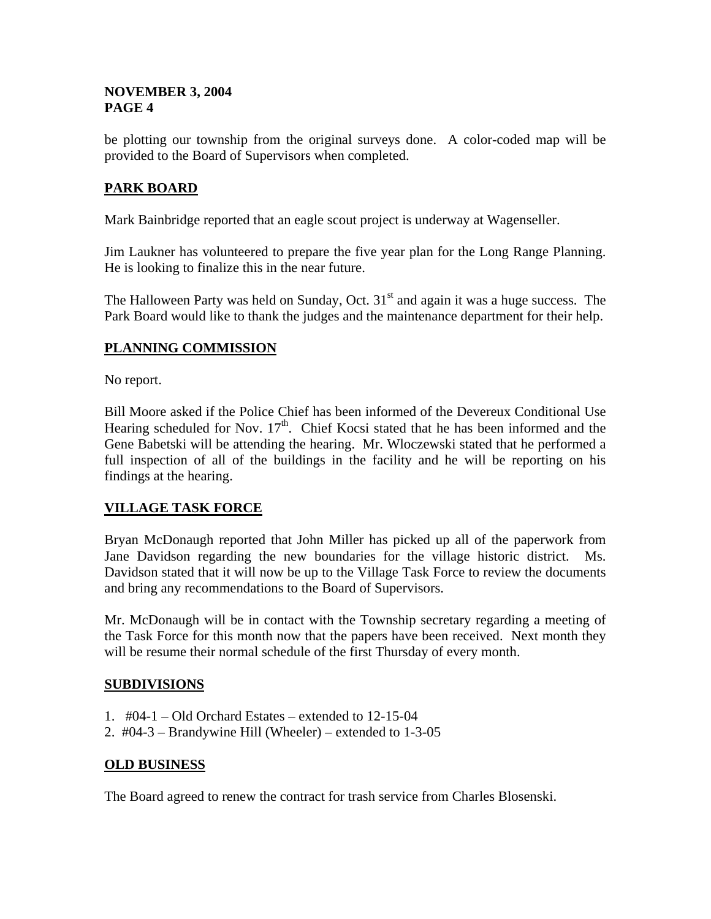be plotting our township from the original surveys done. A color-coded map will be provided to the Board of Supervisors when completed.

## **PARK BOARD**

Mark Bainbridge reported that an eagle scout project is underway at Wagenseller.

Jim Laukner has volunteered to prepare the five year plan for the Long Range Planning. He is looking to finalize this in the near future.

The Halloween Party was held on Sunday, Oct.  $31<sup>st</sup>$  and again it was a huge success. The Park Board would like to thank the judges and the maintenance department for their help.

## **PLANNING COMMISSION**

No report.

Bill Moore asked if the Police Chief has been informed of the Devereux Conditional Use Hearing scheduled for Nov.  $17<sup>th</sup>$ . Chief Kocsi stated that he has been informed and the Gene Babetski will be attending the hearing. Mr. Wloczewski stated that he performed a full inspection of all of the buildings in the facility and he will be reporting on his findings at the hearing.

## **VILLAGE TASK FORCE**

Bryan McDonaugh reported that John Miller has picked up all of the paperwork from Jane Davidson regarding the new boundaries for the village historic district. Ms. Davidson stated that it will now be up to the Village Task Force to review the documents and bring any recommendations to the Board of Supervisors.

Mr. McDonaugh will be in contact with the Township secretary regarding a meeting of the Task Force for this month now that the papers have been received. Next month they will be resume their normal schedule of the first Thursday of every month.

#### **SUBDIVISIONS**

- 1. #04-1 Old Orchard Estates extended to 12-15-04
- 2. #04-3 Brandywine Hill (Wheeler) extended to 1-3-05

#### **OLD BUSINESS**

The Board agreed to renew the contract for trash service from Charles Blosenski.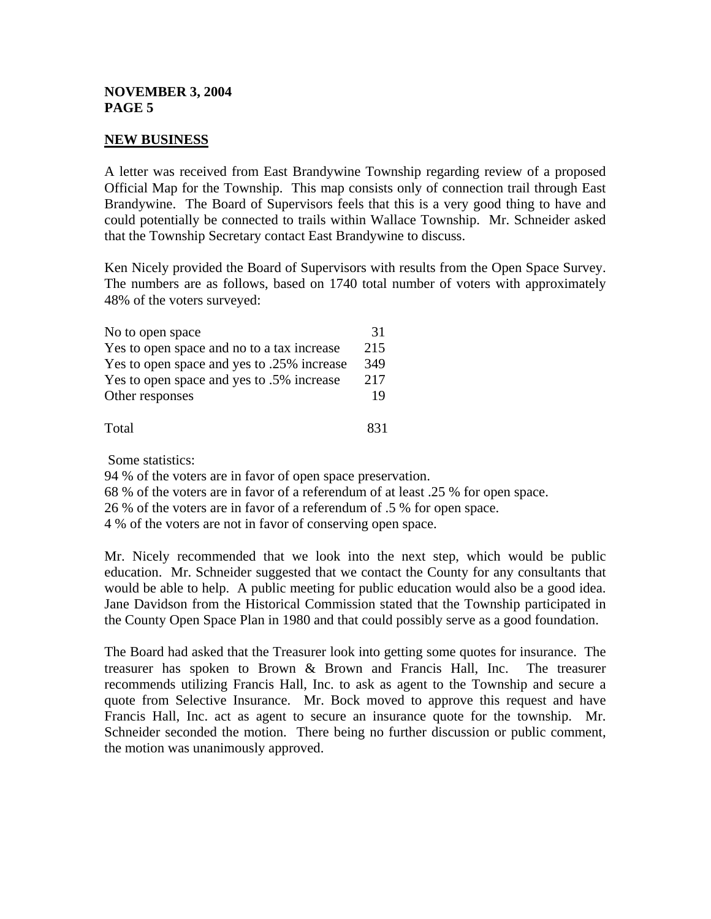#### **NEW BUSINESS**

A letter was received from East Brandywine Township regarding review of a proposed Official Map for the Township. This map consists only of connection trail through East Brandywine. The Board of Supervisors feels that this is a very good thing to have and could potentially be connected to trails within Wallace Township. Mr. Schneider asked that the Township Secretary contact East Brandywine to discuss.

Ken Nicely provided the Board of Supervisors with results from the Open Space Survey. The numbers are as follows, based on 1740 total number of voters with approximately 48% of the voters surveyed:

| No to open space                           | 31  |
|--------------------------------------------|-----|
| Yes to open space and no to a tax increase | 215 |
| Yes to open space and yes to .25% increase | 349 |
| Yes to open space and yes to .5% increase  | 217 |
| Other responses                            | 19  |
| Total                                      | 831 |

Some statistics:

94 % of the voters are in favor of open space preservation.

68 % of the voters are in favor of a referendum of at least .25 % for open space.

26 % of the voters are in favor of a referendum of .5 % for open space.

4 % of the voters are not in favor of conserving open space.

Mr. Nicely recommended that we look into the next step, which would be public education. Mr. Schneider suggested that we contact the County for any consultants that would be able to help. A public meeting for public education would also be a good idea. Jane Davidson from the Historical Commission stated that the Township participated in the County Open Space Plan in 1980 and that could possibly serve as a good foundation.

The Board had asked that the Treasurer look into getting some quotes for insurance. The treasurer has spoken to Brown & Brown and Francis Hall, Inc. The treasurer recommends utilizing Francis Hall, Inc. to ask as agent to the Township and secure a quote from Selective Insurance. Mr. Bock moved to approve this request and have Francis Hall, Inc. act as agent to secure an insurance quote for the township. Mr. Schneider seconded the motion. There being no further discussion or public comment, the motion was unanimously approved.